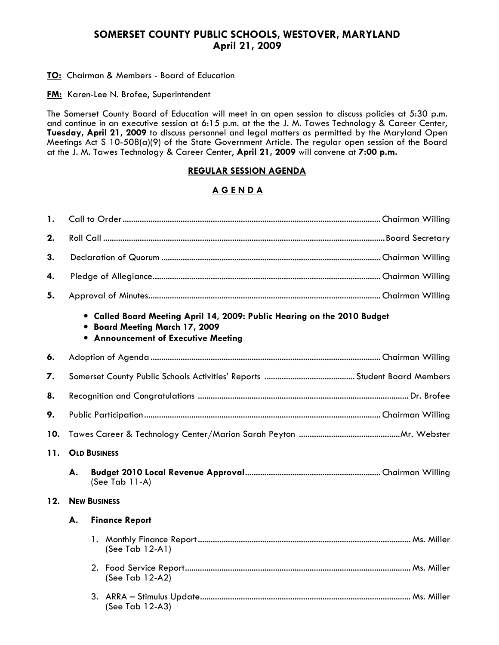## SOMERSET COUNTY PUBLIC SCHOOLS, WESTOVER, MARYLAND April 21, 2009

**TO:** Chairman & Members - Board of Education

**FM:** Karen-Lee N. Brofee, Superintendent

The Somerset County Board of Education will meet in an open session to discuss policies at 5:30 p.m. and continue in an executive session at 6:15 p.m. at the the J. M. Tawes Technology & Career Center, Tuesday, April 21, 2009 to discuss personnel and legal matters as permitted by the Maryland Open Meetings Act S 10-508(a)(9) of the State Government Article. The regular open session of the Board at the J. M. Tawes Technology & Career Center, April 21, 2009 will convene at 7:00 p.m.

#### REGULAR SESSION AGENDA

### A G E N D A

| 1.  |                                                                                                                                                                    |                       |  |  |  |  |
|-----|--------------------------------------------------------------------------------------------------------------------------------------------------------------------|-----------------------|--|--|--|--|
| 2.  |                                                                                                                                                                    |                       |  |  |  |  |
| 3.  |                                                                                                                                                                    |                       |  |  |  |  |
| 4.  |                                                                                                                                                                    |                       |  |  |  |  |
| 5.  |                                                                                                                                                                    |                       |  |  |  |  |
|     | . Called Board Meeting April 14, 2009: Public Hearing on the 2010 Budget<br><b>Board Meeting March 17, 2009</b><br>٠<br><b>.</b> Announcement of Executive Meeting |                       |  |  |  |  |
| 6.  |                                                                                                                                                                    |                       |  |  |  |  |
| 7.  |                                                                                                                                                                    |                       |  |  |  |  |
| 8.  |                                                                                                                                                                    |                       |  |  |  |  |
| 9.  |                                                                                                                                                                    |                       |  |  |  |  |
| 10. |                                                                                                                                                                    |                       |  |  |  |  |
| 11. | <b>OLD BUSINESS</b>                                                                                                                                                |                       |  |  |  |  |
|     | А.                                                                                                                                                                 | (See Tab 11-A)        |  |  |  |  |
| 12. | <b>NEW BUSINESS</b>                                                                                                                                                |                       |  |  |  |  |
|     | А.                                                                                                                                                                 | <b>Finance Report</b> |  |  |  |  |
|     |                                                                                                                                                                    | (See Tab 12-A1)       |  |  |  |  |
|     |                                                                                                                                                                    | (See Tab 12-A2)       |  |  |  |  |
|     |                                                                                                                                                                    | (See Tab 12-A3)       |  |  |  |  |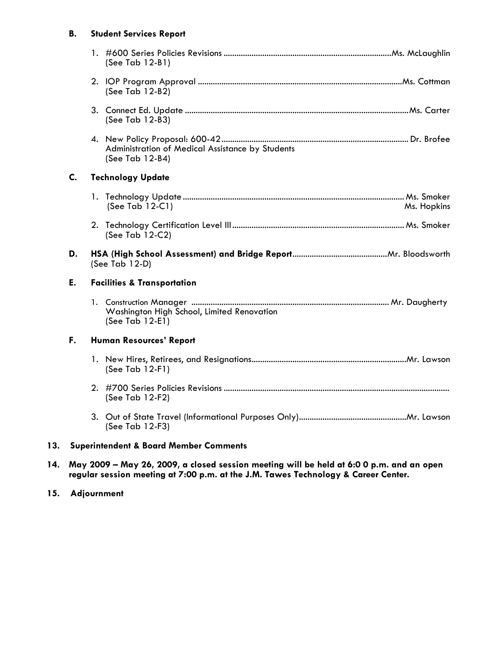#### B. Student Services Report

|                                              |  | $(See Tab 12-B1)$                                                   |  |
|----------------------------------------------|--|---------------------------------------------------------------------|--|
|                                              |  | (See Tab 12-B2)                                                     |  |
|                                              |  | (See Tab 12-B3)                                                     |  |
|                                              |  | Administration of Medical Assistance by Students<br>(See Tab 12-B4) |  |
| C.<br><b>Technology Update</b>               |  |                                                                     |  |
|                                              |  | (See Tab 12-C1)<br>Ms. Hopkins                                      |  |
|                                              |  | (See Tab 12-C2)                                                     |  |
| D.<br>(See Tab 12-D)                         |  |                                                                     |  |
| Е.<br><b>Facilities &amp; Transportation</b> |  |                                                                     |  |
|                                              |  |                                                                     |  |
|                                              |  | Washington High School, Limited Renovation<br>(See Tab 12-E1)       |  |
| F.                                           |  | <b>Human Resources' Report</b>                                      |  |
|                                              |  | (See Tab 12-F1)                                                     |  |
|                                              |  | (See Tab 12-F2)                                                     |  |
|                                              |  | (See Tab 12-F3)                                                     |  |

14. May 2009 – May 26, 2009, a closed session meeting will be held at 6:0 0 p.m. and an open regular session meeting at 7:00 p.m. at the J.M. Tawes Technology & Career Center.

### 15. Adjournment